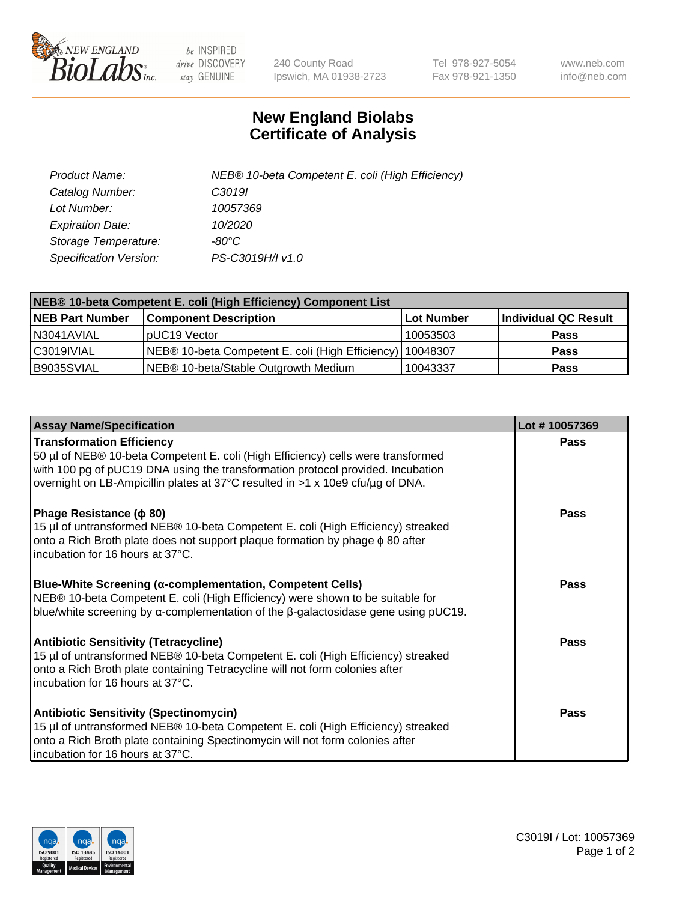

 $be$  INSPIRED drive DISCOVERY stay GENUINE

240 County Road Ipswich, MA 01938-2723 Tel 978-927-5054 Fax 978-921-1350 www.neb.com info@neb.com

## **New England Biolabs Certificate of Analysis**

| Product Name:           | NEB® 10-beta Competent E. coli (High Efficiency) |
|-------------------------|--------------------------------------------------|
| Catalog Number:         | C <sub>3019</sub>                                |
| Lot Number:             | 10057369                                         |
| <b>Expiration Date:</b> | 10/2020                                          |
| Storage Temperature:    | -80°C                                            |
| Specification Version:  | PS-C3019H/I v1.0                                 |

| NEB® 10-beta Competent E. coli (High Efficiency) Component List |                                                             |            |                      |  |
|-----------------------------------------------------------------|-------------------------------------------------------------|------------|----------------------|--|
| <b>NEB Part Number</b>                                          | <b>Component Description</b>                                | Lot Number | Individual QC Result |  |
| N3041AVIAL                                                      | pUC19 Vector                                                | 10053503   | <b>Pass</b>          |  |
| C3019IVIAL                                                      | NEB® 10-beta Competent E. coli (High Efficiency)   10048307 |            | <b>Pass</b>          |  |
| B9035SVIAL                                                      | NEB <sup>®</sup> 10-beta/Stable Outgrowth Medium            | 10043337   | <b>Pass</b>          |  |

| <b>Assay Name/Specification</b>                                                                                                                                                                                                                                                           | Lot #10057369 |
|-------------------------------------------------------------------------------------------------------------------------------------------------------------------------------------------------------------------------------------------------------------------------------------------|---------------|
| <b>Transformation Efficiency</b><br>50 µl of NEB® 10-beta Competent E. coli (High Efficiency) cells were transformed<br>with 100 pg of pUC19 DNA using the transformation protocol provided. Incubation<br>overnight on LB-Ampicillin plates at 37°C resulted in >1 x 10e9 cfu/µg of DNA. | Pass          |
| Phage Resistance ( $\phi$ 80)<br>15 µl of untransformed NEB® 10-beta Competent E. coli (High Efficiency) streaked<br>onto a Rich Broth plate does not support plaque formation by phage $\phi$ 80 after<br>incubation for 16 hours at 37°C.                                               | Pass          |
| <b>Blue-White Screening (α-complementation, Competent Cells)</b><br>NEB® 10-beta Competent E. coli (High Efficiency) were shown to be suitable for<br>blue/white screening by $\alpha$ -complementation of the $\beta$ -galactosidase gene using pUC19.                                   | Pass          |
| Antibiotic Sensitivity (Tetracycline)<br>15 µl of untransformed NEB® 10-beta Competent E. coli (High Efficiency) streaked<br>onto a Rich Broth plate containing Tetracycline will not form colonies after<br>incubation for 16 hours at 37°C.                                             | Pass          |
| <b>Antibiotic Sensitivity (Spectinomycin)</b><br>15 µl of untransformed NEB® 10-beta Competent E. coli (High Efficiency) streaked<br>onto a Rich Broth plate containing Spectinomycin will not form colonies after<br>incubation for 16 hours at 37°C.                                    | Pass          |